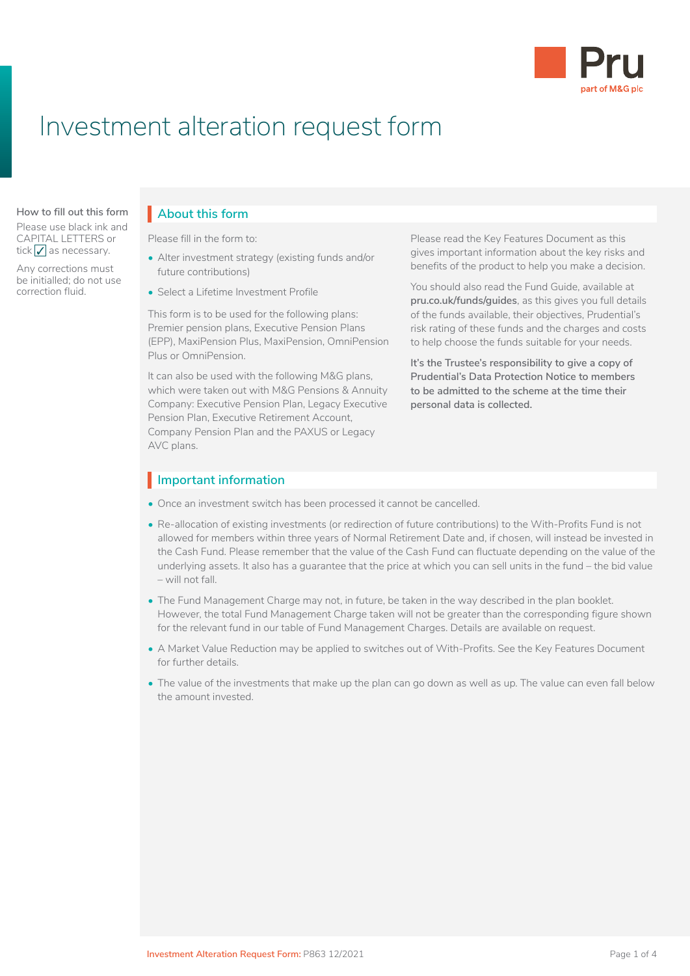

# Investment alteration request form

Please use black ink and CAPITAL LETTERS or tick  $\sqrt{\ }$  as necessary.

Any corrections must be initialled; do not use correction fluid.

## **About this form How to fill out this form About this form** I

Before you fill in this Local Government Pension Please fill in the form to:<br>Please fill in the form to:

- Alter investment strategy (existing funds and/or future contributions)
- Select a Lifetime Investment Profile

 $\mathcal{F}(\mathcal{F})$ Premier pension plans, Executive Pension Plans (EPP), MaxiPension Plus, MaxiPension, OmniPension to help choose the funds suitable for your needs. This form is to be used for the following plans: (EPP), MaxiPension Plus, MaxiPension, OmniPension Plus or OmniPension.

It can also be used with the following M&G plans, which were taken out with M&G Pensions & Annuity Company: Executive Pension Plan, Legacy Executive Pension Plan, Executive Retirement Account, Company Pension Plan and the PAXUS or Legacy AVC plans.

Please read the Key Features Document as this gives important information about the key risks and benefits of the product to help you make a decision.

You should also read the Fund Guide, available at **pru.co.uk/funds/guides**, as this gives you full details of the funds available, their objectives, Prudential's risk rating of these funds and the charges and costs

rius or Ommerision.<br>It's the Trustee's responsibility to give a copy of **Prudential's Data Protection Notice to members to be admitted to the scheme at the time their personal data is collected.**

### **Important information** I

- Once an investment switch has been processed it cannot be cancelled.
- Re-allocation of existing investments (or redirection of future contributions) to the With-Profits Fund is not allowed for members within three years of Normal Retirement Date and, if chosen, will instead be invested in the Cash Fund. Please remember that the value of the Cash Fund can fluctuate depending on the value of the underlying assets. It also has a guarantee that the price at which you can sell units in the fund – the bid value – will not fall.
- The Fund Management Charge may not, in future, be taken in the way described in the plan booklet. However, the total Fund Management Charge taken will not be greater than the corresponding figure shown for the relevant fund in our table of Fund Management Charges. Details are available on request.
- A Market Value Reduction may be applied to switches out of With-Profits. See the Key Features Document for further details.
- The value of the investments that make up the plan can go down as well as up. The value can even fall below the amount invested.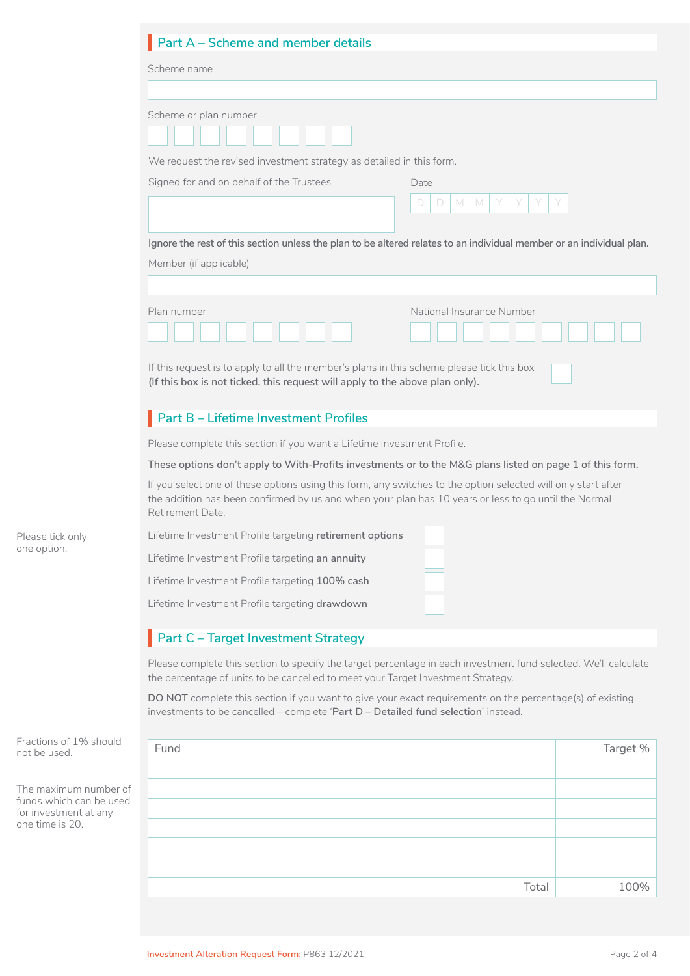|                                                                                              | Part A - Scheme and member details                                                                                                                                                                                                        |          |  |  |
|----------------------------------------------------------------------------------------------|-------------------------------------------------------------------------------------------------------------------------------------------------------------------------------------------------------------------------------------------|----------|--|--|
|                                                                                              | Scheme name                                                                                                                                                                                                                               |          |  |  |
|                                                                                              |                                                                                                                                                                                                                                           |          |  |  |
|                                                                                              | Scheme or plan number<br>We request the revised investment strategy as detailed in this form.                                                                                                                                             |          |  |  |
|                                                                                              | Signed for and on behalf of the Trustees<br>Date<br>$\Box$<br>M<br>M<br>D.                                                                                                                                                                |          |  |  |
|                                                                                              | Ignore the rest of this section unless the plan to be altered relates to an individual member or an individual plan.<br>Member (if applicable)                                                                                            |          |  |  |
|                                                                                              | Plan number<br>National Insurance Number<br>If this request is to apply to all the member's plans in this scheme please tick this box<br>(If this box is not ticked, this request will apply to the above plan only).                     |          |  |  |
|                                                                                              | Part B - Lifetime Investment Profiles                                                                                                                                                                                                     |          |  |  |
|                                                                                              | Please complete this section if you want a Lifetime Investment Profile.                                                                                                                                                                   |          |  |  |
| Please tick only<br>one option.                                                              | These options don't apply to With-Profits investments or to the M&G plans listed on page 1 of this form.                                                                                                                                  |          |  |  |
|                                                                                              | If you select one of these options using this form, any switches to the option selected will only start after<br>the addition has been confirmed by us and when your plan has 10 years or less to go until the Normal<br>Retirement Date. |          |  |  |
|                                                                                              | Lifetime Investment Profile targeting retirement options<br>Lifetime Investment Profile targeting an annuity                                                                                                                              |          |  |  |
|                                                                                              | Lifetime Investment Profile targeting 100% cash<br>Lifetime Investment Profile targeting drawdown                                                                                                                                         |          |  |  |
|                                                                                              | Part C - Target Investment Strategy                                                                                                                                                                                                       |          |  |  |
|                                                                                              | Please complete this section to specify the target percentage in each investment fund selected. We'll calculate<br>the percentage of units to be cancelled to meet your Target Investment Strategy.                                       |          |  |  |
|                                                                                              | DO NOT complete this section if you want to give your exact requirements on the percentage(s) of existing<br>investments to be cancelled - complete 'Part D - Detailed fund selection' instead.                                           |          |  |  |
| Fractions of 1% should<br>not be used.                                                       | Fund                                                                                                                                                                                                                                      | Target % |  |  |
| The maximum number of<br>funds which can be used<br>for investment at any<br>one time is 20. |                                                                                                                                                                                                                                           |          |  |  |
|                                                                                              | Total                                                                                                                                                                                                                                     | 100%     |  |  |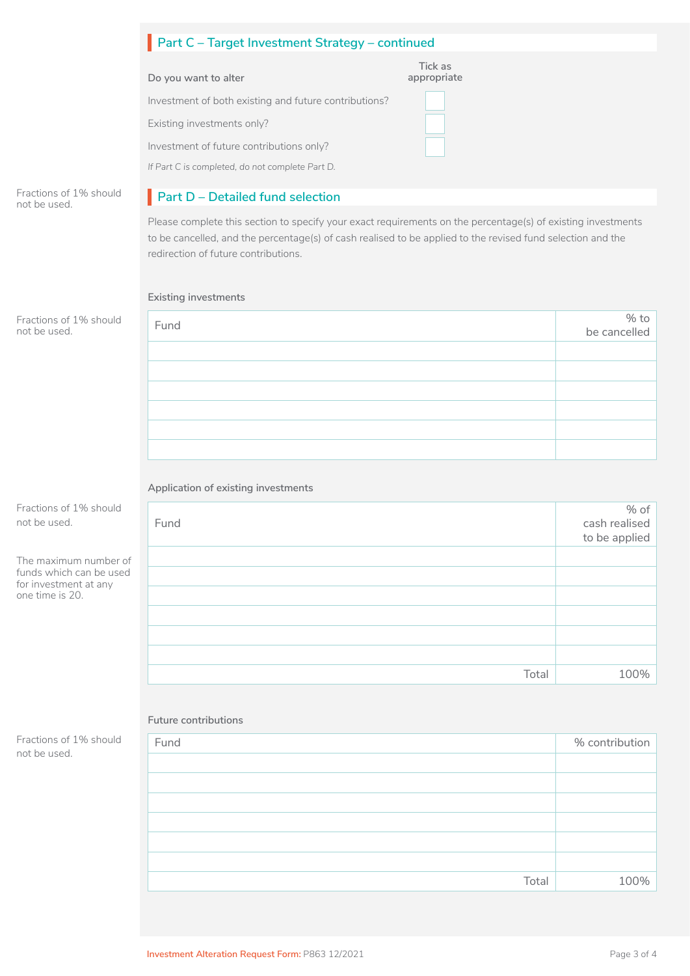|                                                                                              | Part C - Target Investment Strategy - continued                                                                                                                                                                                                                     |                        |                        |  |
|----------------------------------------------------------------------------------------------|---------------------------------------------------------------------------------------------------------------------------------------------------------------------------------------------------------------------------------------------------------------------|------------------------|------------------------|--|
|                                                                                              | Do you want to alter                                                                                                                                                                                                                                                | Tick as<br>appropriate |                        |  |
|                                                                                              | Investment of both existing and future contributions?                                                                                                                                                                                                               |                        |                        |  |
|                                                                                              | Existing investments only?                                                                                                                                                                                                                                          |                        |                        |  |
|                                                                                              | Investment of future contributions only?                                                                                                                                                                                                                            |                        |                        |  |
|                                                                                              | If Part C is completed, do not complete Part D.                                                                                                                                                                                                                     |                        |                        |  |
| Fractions of 1% should<br>not be used.                                                       | Part D - Detailed fund selection                                                                                                                                                                                                                                    |                        |                        |  |
|                                                                                              | Please complete this section to specify your exact requirements on the percentage(s) of existing investments<br>to be cancelled, and the percentage(s) of cash realised to be applied to the revised fund selection and the<br>redirection of future contributions. |                        |                        |  |
|                                                                                              | Existing investments                                                                                                                                                                                                                                                |                        |                        |  |
| Fractions of 1% should<br>not be used.                                                       | Fund                                                                                                                                                                                                                                                                |                        | % $to$<br>be cancelled |  |
|                                                                                              |                                                                                                                                                                                                                                                                     |                        |                        |  |
|                                                                                              |                                                                                                                                                                                                                                                                     |                        |                        |  |
|                                                                                              |                                                                                                                                                                                                                                                                     |                        |                        |  |
|                                                                                              |                                                                                                                                                                                                                                                                     |                        |                        |  |
|                                                                                              |                                                                                                                                                                                                                                                                     |                        |                        |  |
|                                                                                              |                                                                                                                                                                                                                                                                     |                        |                        |  |
|                                                                                              | Application of existing investments                                                                                                                                                                                                                                 |                        |                        |  |
| Fractions of 1% should<br>not be used.                                                       |                                                                                                                                                                                                                                                                     |                        | % of                   |  |
|                                                                                              | Fund                                                                                                                                                                                                                                                                |                        | cash realised          |  |
|                                                                                              |                                                                                                                                                                                                                                                                     |                        | to be applied          |  |
| The maximum number of<br>funds which can be used<br>for investment at any<br>one time is 20. |                                                                                                                                                                                                                                                                     |                        |                        |  |
|                                                                                              |                                                                                                                                                                                                                                                                     |                        |                        |  |
|                                                                                              |                                                                                                                                                                                                                                                                     |                        |                        |  |
|                                                                                              |                                                                                                                                                                                                                                                                     |                        |                        |  |
|                                                                                              |                                                                                                                                                                                                                                                                     |                        |                        |  |
|                                                                                              |                                                                                                                                                                                                                                                                     | Total                  | 100%                   |  |
|                                                                                              | Future contributions                                                                                                                                                                                                                                                |                        |                        |  |
| Fractions of 1% should<br>not be used.                                                       | Fund                                                                                                                                                                                                                                                                |                        | % contribution         |  |
|                                                                                              |                                                                                                                                                                                                                                                                     |                        |                        |  |
|                                                                                              |                                                                                                                                                                                                                                                                     |                        |                        |  |
|                                                                                              |                                                                                                                                                                                                                                                                     |                        |                        |  |

Total 100%